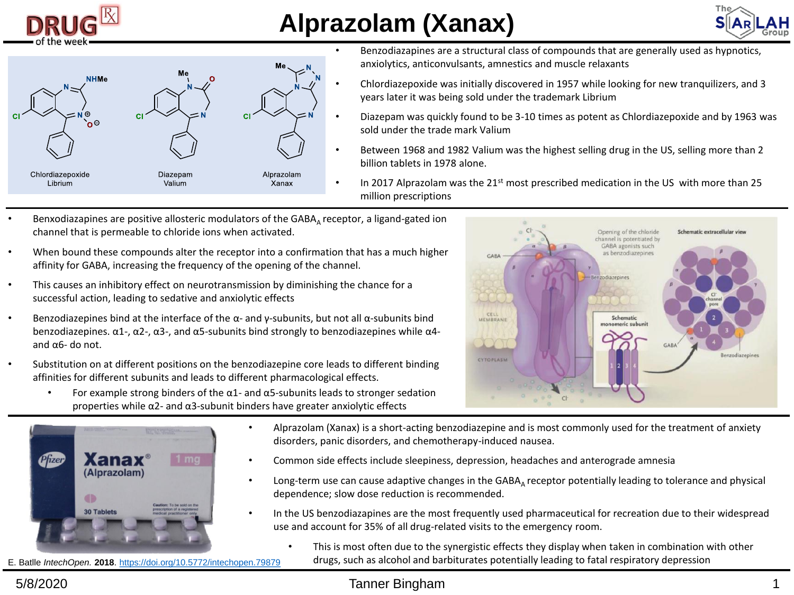

## **Alprazolam (Xanax)**





- Benzodiazapines are a structural class of compounds that are generally used as hypnotics, anxiolytics, anticonvulsants, amnestics and muscle relaxants
- Chlordiazepoxide was initially discovered in 1957 while looking for new tranquilizers, and 3 years later it was being sold under the trademark Librium
- Diazepam was quickly found to be 3-10 times as potent as Chlordiazepoxide and by 1963 was sold under the trade mark Valium
- Between 1968 and 1982 Valium was the highest selling drug in the US, selling more than 2 billion tablets in 1978 alone.
- In 2017 Alprazolam was the  $21<sup>st</sup>$  most prescribed medication in the US with more than 25 million prescriptions
- Benxodiazapines are positive allosteric modulators of the GABA<sub>A</sub> receptor, a ligand-gated ion channel that is permeable to chloride ions when activated.
- When bound these compounds alter the receptor into a confirmation that has a much higher affinity for GABA, increasing the frequency of the opening of the channel.
- This causes an inhibitory effect on neurotransmission by diminishing the chance for a successful action, leading to sedative and anxiolytic effects
- Benzodiazepines bind at the interface of the α- and y-subunits, but not all α-subunits bind benzodiazepines.  $α1$ -,  $α2$ -,  $α3$ -, and  $α5$ -subunits bind strongly to benzodiazepines while  $α4$ and α6- do not.
- Substitution on at different positions on the benzodiazepine core leads to different binding affinities for different subunits and leads to different pharmacological effects.



• For example strong binders of the  $\alpha$ 1- and  $\alpha$ 5-subunits leads to stronger sedation properties while α2- and α3-subunit binders have greater anxiolytic effects



- Alprazolam (Xanax) is a short-acting benzodiazepine and is most commonly used for the treatment of anxiety disorders, panic disorders, and chemotherapy-induced nausea.
- Common side effects include sleepiness, depression, headaches and anterograde amnesia
- Long-term use can cause adaptive changes in the GABA<sub>A</sub> receptor potentially leading to tolerance and physical dependence; slow dose reduction is recommended.
- In the US benzodiazapines are the most frequently used pharmaceutical for recreation due to their widespread use and account for 35% of all drug-related visits to the emergency room.
	- This is most often due to the synergistic effects they display when taken in combination with other drugs, such as alcohol and barbiturates potentially leading to fatal respiratory depression

E. Batlle *IntechOpen.* **2018**. <https://doi.org/10.5772/intechopen.79879>

## 5/8/2020 Tanner Bingham 1